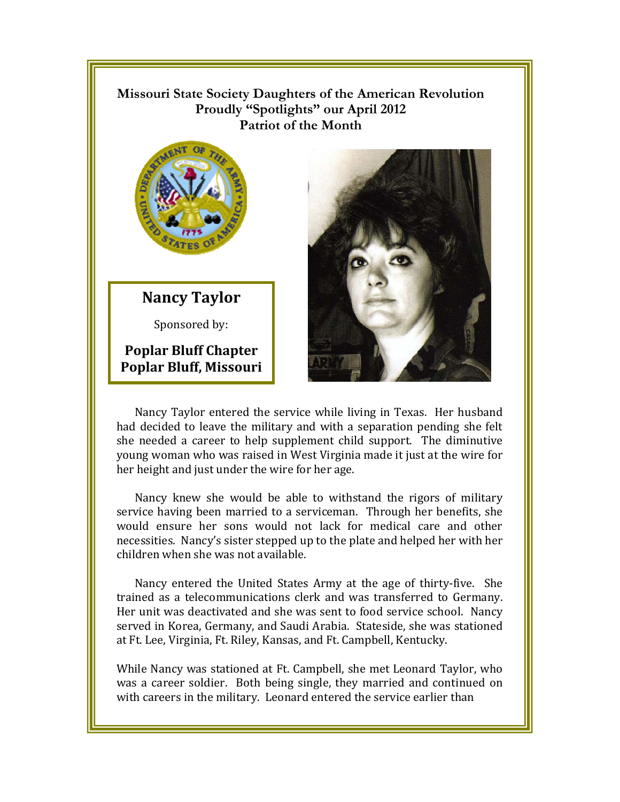## **Missouri State Society Daughters of the American Revolution**  Proudly "Spotlights" our April 2012 **Patriot of the Month**



## **Nancy Taylor**

Sponsored by:

**Poplar Bluff Chapter Poplar Bluff, Missouri** 



had decided to leave the military and with a separation pending she felt she needed a career to help supplement child support. The diminutive young woman who was raised in West Virginia made it just at the wire for her height and just under the wire for her age.

Nancy knew she would be able to withstand the rigors of military service having been married to a serviceman. Through her benefits, she would ensure her sons would not lack for medical care and other necessities. Nancy's sister stepped up to the plate and helped her with her children when she was not available.

Nancy entered the United States Army at the age of thirty-five. She trained as a telecommunications clerk and was transferred to Germany. Her unit was deactivated and she was sent to food service school. Nancy served in Korea, Germany, and Saudi Arabia. Stateside, she was stationed at Ft. Lee, Virginia, Ft. Riley, Kansas, and Ft. Campbell, Kentucky.

While Nancy was stationed at Ft. Campbell, she met Leonard Taylor, who was a career soldier. Both being single, they married and continued on with careers in the military. Leonard entered the service earlier than